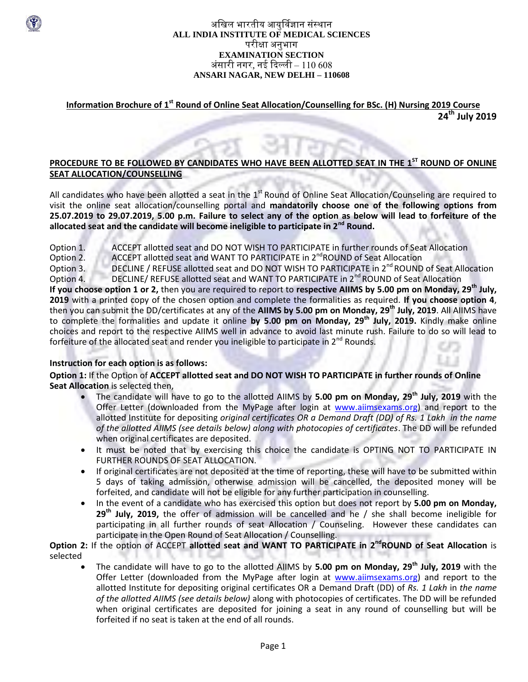### अखिल भारतीय आयुर्विज्ञान संस्थान **ALL INDIA INSTITUTE OF MEDICAL SCIENCES** परीक्षा अनुभाग **EXAMINATION SECTION** अंसारी नगर, नई ददल्ली – 110 608 **ANSARI NAGAR, NEW DELHI – 110608**

# **Information Brochure of 1<sup>st</sup> Round of Online Seat Allocation/Counselling for BSc. (H) Nursing 2019 Course 24 th July 2019**

### **PROCEDURE TO BE FOLLOWED BY CANDIDATES WHO HAVE BEEN ALLOTTED SEAT IN THE 1ST ROUND OF ONLINE SEAT ALLOCATION/COUNSELLING**

All candidates who have been allotted a seat in the 1<sup>st</sup> Round of Online Seat Allocation/Counseling are required to visit the online seat allocation/counselling portal and **mandatorily choose one of the following options from 25.07.2019 to 29.07.2019, 5.00 p.m. Failure to select any of the option as below will lead to forfeiture of the allocated seat and the candidate will become ineligible to participate in 2nd Round.**

Option 1. ACCEPT allotted seat and DO NOT WISH TO PARTICIPATE in further rounds of Seat Allocation Option 2. ACCEPT allotted seat and WANT TO PARTICIPATE in 2<sup>nd</sup>ROUND of Seat Allocation

Option 3. DECLINE / REFUSE allotted seat and DO NOT WISH TO PARTICIPATE in 2<sup>nd</sup> ROUND of Seat Allocation Option 4. DECLINE/ REFUSE allotted seat and WANT TO PARTICIPATE in 2<sup>nd</sup> ROUND of Seat Allocation

**If you choose option 1 or 2,** then you are required to report to **respective AIIMS by 5.00 pm on Monday, 29 th July, 2019** with a printed copy of the chosen option and complete the formalities as required. **If you choose option 4**, then you can submit the DD/certificates at any of the **AIIMS by 5.00 pm on Monday, 29th July, 2019**. All AIIMS have to complete the formalities and update it online **by 5.00 pm on Monday, 29th July, 2019.** Kindly make online choices and report to the respective AIIMS well in advance to avoid last minute rush. Failure to do so will lead to forfeiture of the allocated seat and render you ineligible to participate in 2<sup>nd</sup> Rounds.

### **Instruction for each option is as follows:**

**Option 1:** If the Option of **ACCEPT allotted seat and DO NOT WISH TO PARTICIPATE in further rounds of Online Seat Allocation** is selected then,

- The candidate will have to go to the allotted AIIMS by **5.00 pm on Monday, 29th July, 2019** with the Offer Letter (downloaded from the MyPage after login at [www.aiimsexams.org\)](http://www.aiimsexams.org/) and report to the allotted Institute for depositing *original certificates OR a Demand Draft (DD) of Rs. 1 Lakh in the name of the allotted AIIMS (see details below) along with photocopies of certificates*. The DD will be refunded when original certificates are deposited.
- It must be noted that by exercising this choice the candidate is OPTING NOT TO PARTICIPATE IN FURTHER ROUNDS OF SEAT ALLOCATION.
- If original certificates are not deposited at the time of reporting, these will have to be submitted within 5 days of taking admission, otherwise admission will be cancelled, the deposited money will be forfeited, and candidate will not be eligible for any further participation in counselling.
- In the event of a candidate who has exercised this option but does not report by **5.00 pm on Monday, 29th July, 2019,** the offer of admission will be cancelled and he / she shall become ineligible for participating in all further rounds of seat Allocation / Counseling. However these candidates can participate in the Open Round of Seat Allocation / Counselling.

**Option 2:** If the option of ACCEPT allotted seat and WANT TO PARTICIPATE in 2<sup>nd</sup>ROUND of Seat Allocation is selected

 The candidate will have to go to the allotted AIIMS by **5.00 pm on Monday, 29th July, 2019** with the Offer Letter (downloaded from the MyPage after login at [www.aiimsexams.org\)](http://www.aiimsexams.org/) and report to the allotted Institute for depositing original certificates OR a Demand Draft (DD) of *Rs. 1 Lakh* in *the name of the allotted AIIMS (see details below)* along with photocopies of certificates. The DD will be refunded when original certificates are deposited for joining a seat in any round of counselling but will be forfeited if no seat is taken at the end of all rounds.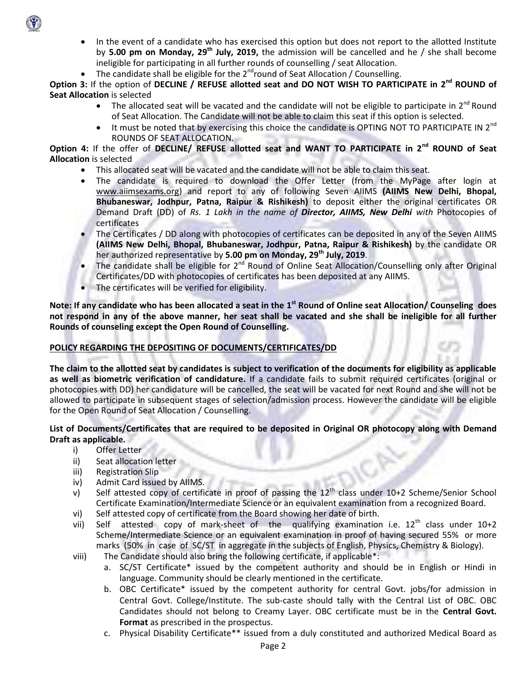- In the event of a candidate who has exercised this option but does not report to the allotted Institute by **5.00 pm on Monday, 29th July, 2019,** the admission will be cancelled and he / she shall become ineligible for participating in all further rounds of counselling / seat Allocation.
- The candidate shall be eligible for the  $2^{nd}$ round of Seat Allocation / Counselling.

**Option 3:** If the option of DECLINE / REFUSE allotted seat and DO NOT WISH TO PARTICIPATE in 2<sup>nd</sup> ROUND of **Seat Allocation** is selected

- The allocated seat will be vacated and the candidate will not be eligible to participate in  $2^{nd}$  Round of Seat Allocation. The Candidate will not be able to claim this seat if this option is selected.
- It must be noted that by exercising this choice the candidate is OPTING NOT TO PARTICIPATE IN 2<sup>nd</sup> ROUNDS OF SEAT ALLOCATION.

**Option 4:** If the offer of **DECLINE/ REFUSE allotted seat and WANT TO PARTICIPATE in 2nd ROUND of Seat Allocation** is selected

- This allocated seat will be vacated and the candidate will not be able to claim this seat.
- The candidate is required to download the Offer Letter (from the MyPage after login at [www.aiimsexams.org\)](http://www.aiimsexams.org/) and report to any of following Seven AIIMS **(AIIMS New Delhi, Bhopal, Bhubaneswar, Jodhpur, Patna, Raipur & Rishikesh)** to deposit either the original certificates OR Demand Draft (DD) of *Rs. 1 Lakh in the name of Director, AIIMS, New Delhi with* Photocopies of certificates
- The Certificates / DD along with photocopies of certificates can be deposited in any of the Seven AIIMS **(AIIMS New Delhi, Bhopal, Bhubaneswar, Jodhpur, Patna, Raipur & Rishikesh)** by the candidate OR her authorized representative by **5.00 pm on Monday, 29th July, 2019**.
- The candidate shall be eligible for  $2^{nd}$  Round of Online Seat Allocation/Counselling only after Original Certificates/DD with photocopies of certificates has been deposited at any AIIMS.
- The certificates will be verified for eligibility.

Note: If any candidate who has been allocated a seat in the 1<sup>st</sup> Round of Online seat Allocation/ Counseling does **not respond in any of the above manner, her seat shall be vacated and she shall be ineligible for all further Rounds of counseling except the Open Round of Counselling.**

### **POLICY REGARDING THE DEPOSITING OF DOCUMENTS/CERTIFICATES/DD**

**The claim to the allotted seat by candidates is subject to verification of the documents for eligibility as applicable as well as biometric verification of candidature.** If a candidate fails to submit required certificates (original or photocopies with DD) her candidature will be cancelled, the seat will be vacated for next Round and she will not be allowed to participate in subsequent stages of selection/admission process. However the candidate will be eligible for the Open Round of Seat Allocation / Counselling.

### **List of Documents/Certificates that are required to be deposited in Original OR photocopy along with Demand Draft as applicable.**

- i) Offer Letter
- ii) Seat allocation letter
- iii) Registration Slip
- iv) Admit Card issued by AIIMS.
- v) Self attested copy of certificate in proof of passing the  $12<sup>th</sup>$  class under 10+2 Scheme/Senior School Certificate Examination/Intermediate Science or an equivalent examination from a recognized Board.
- vi) Self attested copy of certificate from the Board showing her date of birth.
- vii) Self attested copy of mark-sheet of the qualifying examination i.e.  $12^{th}$  class under  $10+2$ Scheme/Intermediate Science or an equivalent examination in proof of having secured 55% or more marks (50% in case of SC/ST in aggregate in the subjects of English, Physics, Chemistry & Biology).
- viii) The Candidate should also bring the following certificate, if applicable\*:
	- a. SC/ST Certificate\* issued by the competent authority and should be in English or Hindi in language. Community should be clearly mentioned in the certificate.
	- b. OBC Certificate\* issued by the competent authority for central Govt. jobs/for admission in Central Govt. College/Institute. The sub-caste should tally with the Central List of OBC. OBC Candidates should not belong to Creamy Layer. OBC certificate must be in the **Central Govt. Format** as prescribed in the prospectus.
	- c. Physical Disability Certificate\*\* issued from a duly constituted and authorized Medical Board as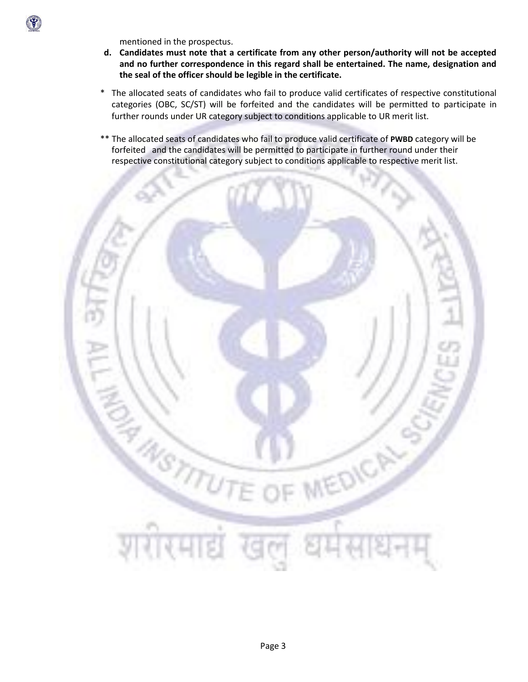

mentioned in the prospectus.

- **d. Candidates must note that a certificate from any other person/authority will not be accepted and no further correspondence in this regard shall be entertained. The name, designation and the seal of the officer should be legible in the certificate.**
- \* The allocated seats of candidates who fail to produce valid certificates of respective constitutional categories (OBC, SC/ST) will be forfeited and the candidates will be permitted to participate in further rounds under UR category subject to conditions applicable to UR merit list.
- \*\* The allocated seats of candidates who fail to produce valid certificate of **PWBD** category will be forfeited and the candidates will be permitted to participate in further round under their respective constitutional category subject to conditions applicable to respective merit list.

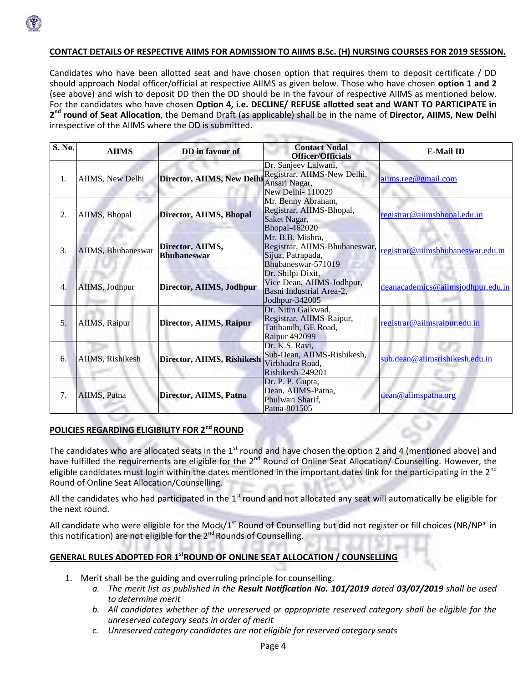

### **CONTACT DETAILS OF RESPECTIVE AIIMS FOR ADMISSION TO AIIMS B.Sc. (H) NURSING COURSES FOR 2019 SESSION.**

Candidates who have been allotted seat and have chosen option that requires them to deposit certificate / DD should approach Nodal officer/official at respective AIIMS as given below. Those who have chosen **option 1 and 2**  (see above) and wish to deposit DD then the DD should be in the favour of respective AIIMS as mentioned below. For the candidates who have chosen **Option 4, i.e. DECLINE/ REFUSE allotted seat and WANT TO PARTICIPATE in 2 nd round of Seat Allocation**, the Demand Draft (as applicable) shall be in the name of **Director, AIIMS, New Delhi** irrespective of the AIIMS where the DD is submitted.

| S. No. | <b>AIIMS</b>       | DD in favour of                        | <b>Contact Nodal</b><br><b>Officer/Officials</b>                                              | <b>E-Mail ID</b>                  |
|--------|--------------------|----------------------------------------|-----------------------------------------------------------------------------------------------|-----------------------------------|
| 1.     | AIIMS, New Delhi   | <b>Director, AIIMS, New Delhi</b>      | Dr. Sanjeev Lalwani,<br>Registrar, AIIMS-New Delhi,<br>Ansari Nagar,<br>New Delhi-110029      | aiims.reg@gmail.com               |
| 2.     | AIIMS, Bhopal      | Director, AIIMS, Bhopal                | Mr. Benny Abraham,<br>Registrar, AIIMS-Bhopal,<br>Saket Nagar,<br><b>Bhopal-462020</b>        | registrar@aiimsbhopal.edu.in      |
| 3.     | AIIMS, Bhubaneswar | Director, AIIMS,<br><b>Bhubaneswar</b> | Mr. B.B. Mishra,<br>Registrar, AIIMS-Bhubaneswar,<br>Sijua, Patrapada,<br>Bhubaneswar-571019  | registrar@aiimsbhubaneswar.edu.in |
| 4.     | AIIMS, Jodhpur     | Director, AIIMS, Jodhpur               | Dr. Shilpi Dixit,<br>Vice Dean, AIIMS-Jodhpur,<br>Basni Industrial Area-2,<br>Jodhpur-342005  | deanacademics@aiimsjodhpur.edu.in |
| 5.     | AIIMS, Raipur      | Director, AIIMS, Raipur                | Dr. Nitin Gaikwad,<br>Registrar, AIIMS-Raipur,<br>Tatibandh, GE Road,<br><b>Raipur 492099</b> | registrar@aiimsraipur.edu.in      |
| 6.     | AIIMS, Rishikesh   | Director, AIIMS, Rishikesh             | Dr. K.S. Ravi,<br>Sub-Dean, AIIMS-Rishikesh,<br>Virbhadra Road,<br>Rishikesh-249201           | sub.dean@aiimsrishikesh.edu.in    |
| 7.     | AIIMS, Patna       | Director, AIIMS, Patna                 | Dr. P. P. Gupta,<br>Dean, AIIMS-Patna,<br>Phulwari Sharif,<br>Patna-801505                    | dean@aiimspatna.org               |

#### **POLICIES REGARDING ELIGIBILITY FOR 2ndROUND**

The candidates who are allocated seats in the  $1<sup>st</sup>$  round and have chosen the option 2 and 4 (mentioned above) and have fulfilled the requirements are eligible for the 2<sup>nd</sup> Round of Online Seat Allocation/ Counselling. However, the eligible candidates must login within the dates mentioned in the important dates link for the participating in the  $2^{nd}$ Round of Online Seat Allocation/Counselling.

All the candidates who had participated in the  $1^{st}$  round and not allocated any seat will automatically be eligible for the next round.

All candidate who were eligible for the Mock/ $1^{st}$  Round of Counselling but did not register or fill choices (NR/NP\* in this notification) are not eligible for the 2<sup>nd</sup> Rounds of Counselling.

#### **GENERAL RULES ADOPTED FOR 1stROUND OF ONLINE SEAT ALLOCATION / COUNSELLING**

- 1. Merit shall be the guiding and overruling principle for counselling.
	- *a. The merit list as published in the Result Notification No. 101/2019 dated 03/07/2019 shall be used to determine merit*
	- *b. All candidates whether of the unreserved or appropriate reserved category shall be eligible for the unreserved category seats in order of merit*
	- *c. Unreserved category candidates are not eligible for reserved category seats*